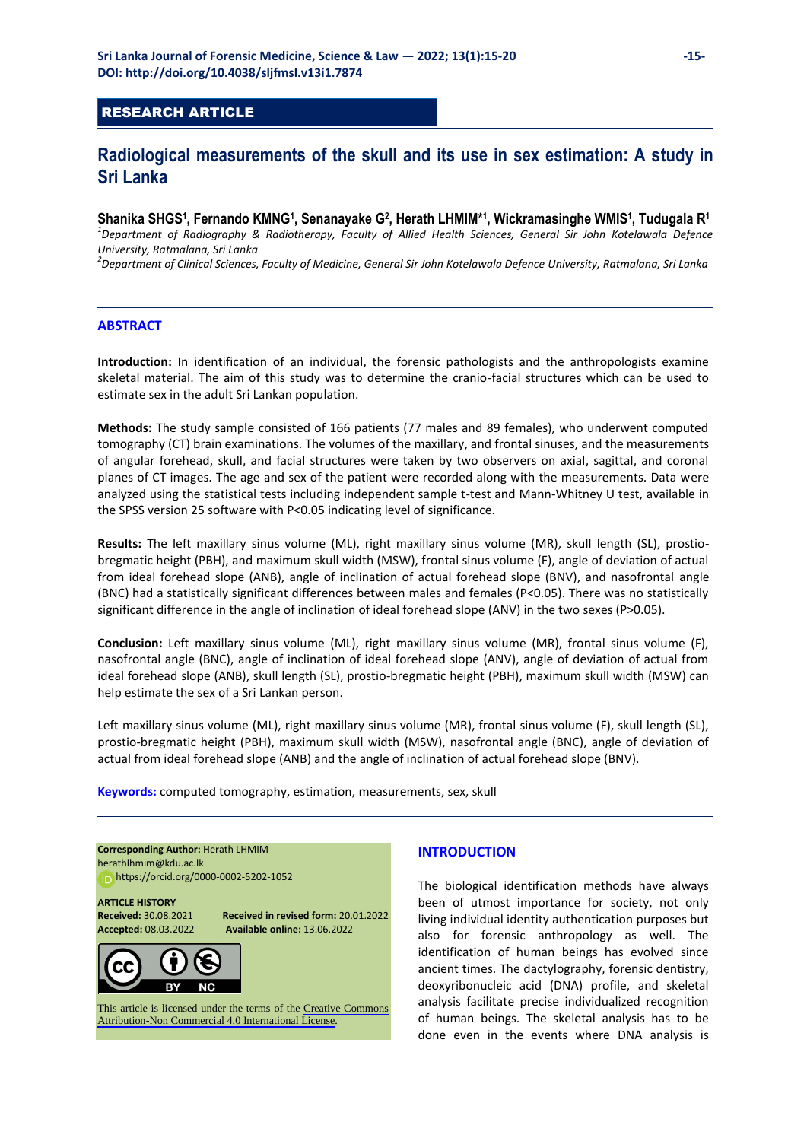## RESEARCH ARTICLE

# **Radiological measurements of the skull and its use in sex estimation: A study in Sri Lanka**

**Shanika SHGS<sup>1</sup> , Fernando KMNG<sup>1</sup> , Senanayake G<sup>2</sup> , Herath LHMIM\* 1 , Wickramasinghe WMIS<sup>1</sup> , Tudugala R<sup>1</sup>** *1 Department of Radiography & Radiotherapy, Faculty of Allied Health Sciences, General Sir John Kotelawala Defence University, Ratmalana, Sri Lanka* 

*2 Department of Clinical Sciences, Faculty of Medicine, General Sir John Kotelawala Defence University, Ratmalana, Sri Lanka* 

#### **ABSTRACT**

**Introduction:** In identification of an individual, the forensic pathologists and the anthropologists examine skeletal material. The aim of this study was to determine the cranio-facial structures which can be used to estimate sex in the adult Sri Lankan population.

**Methods:** The study sample consisted of 166 patients (77 males and 89 females), who underwent computed tomography (CT) brain examinations. The volumes of the maxillary, and frontal sinuses, and the measurements of angular forehead, skull, and facial structures were taken by two observers on axial, sagittal, and coronal planes of CT images. The age and sex of the patient were recorded along with the measurements. Data were analyzed using the statistical tests including independent sample t-test and Mann-Whitney U test, available in the SPSS version 25 software with P<0.05 indicating level of significance.

**Results:** The left maxillary sinus volume (ML), right maxillary sinus volume (MR), skull length (SL), prostiobregmatic height (PBH), and maximum skull width (MSW), frontal sinus volume (F), angle of deviation of actual from ideal forehead slope (ANB), angle of inclination of actual forehead slope (BNV), and nasofrontal angle (BNC) had a statistically significant differences between males and females (P<0.05). There was no statistically significant difference in the angle of inclination of ideal forehead slope (ANV) in the two sexes (P>0.05).

**Conclusion:** Left maxillary sinus volume (ML), right maxillary sinus volume (MR), frontal sinus volume (F), nasofrontal angle (BNC), angle of inclination of ideal forehead slope (ANV), angle of deviation of actual from ideal forehead slope (ANB), skull length (SL), prostio-bregmatic height (PBH), maximum skull width (MSW) can help estimate the sex of a Sri Lankan person.

Left maxillary sinus volume (ML), right maxillary sinus volume (MR), frontal sinus volume (F), skull length (SL), prostio-bregmatic height (PBH), maximum skull width (MSW), nasofrontal angle (BNC), angle of deviation of actual from ideal forehead slope (ANB) and the angle of inclination of actual forehead slope (BNV).

**Keywords:** computed tomography, estimation, measurements, sex, skull

**Corresponding Author:** Herath LHMIM [herathlhmim@kdu.ac.lk](mailto:herathlhmim@kdu.ac.lk)  https:[//orcid.org/0000-0002-5202-1052](https://orcid.org/0000-0002-5202-1052) 

**ARTICLE HISTORY** 

**Received:** 30.08.2021 **Received in revised form:** 20.01.2022 **Accepted:** 08.03.2022 **Available online:** 13.06.2022



This article is licensed under the terms of the [Creative Commons](https://creativecommons.org/licenses/by-nc/4.0/)  [Attribution-Non Commercial 4.0 International License](https://creativecommons.org/licenses/by-nc/4.0/).

## **INTRODUCTION**

The biological identification methods have always been of utmost importance for society, not only living individual identity authentication purposes but also for forensic anthropology as well. The identification of human beings has evolved since ancient times. The dactylography, forensic dentistry, deoxyribonucleic acid (DNA) profile, and skeletal analysis facilitate precise individualized recognition of human beings. The skeletal analysis has to be done even in the events where DNA analysis is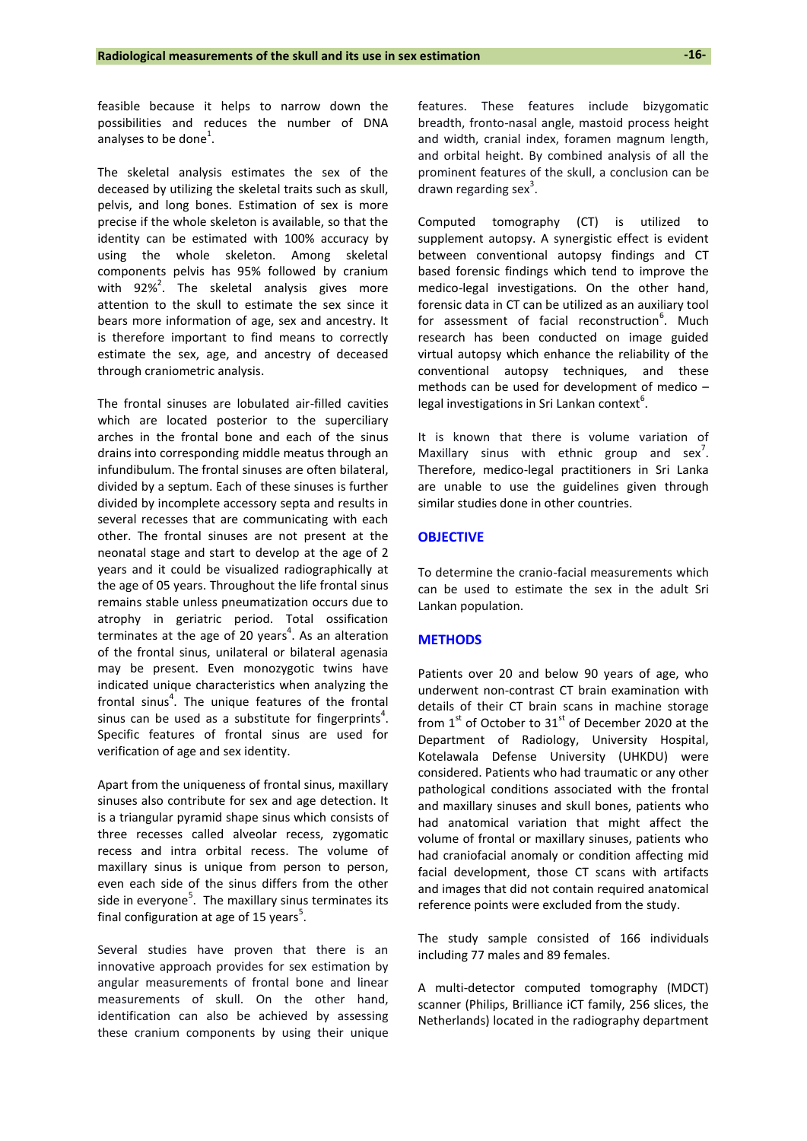feasible because it helps to narrow down the possibilities and reduces the number of DNA analyses to be done<sup>1</sup>.

The skeletal analysis estimates the sex of the deceased by utilizing the skeletal traits such as skull, pelvis, and long bones. Estimation of sex is more precise if the whole skeleton is available, so that the identity can be estimated with 100% accuracy by using the whole skeleton. Among skeletal components pelvis has 95% followed by cranium with  $92\%^{2}$ . The skeletal analysis gives more attention to the skull to estimate the sex since it bears more information of age, sex and ancestry. It is therefore important to find means to correctly estimate the sex, age, and ancestry of deceased through craniometric analysis.

The frontal sinuses are lobulated air-filled cavities which are located posterior to the superciliary arches in the frontal bone and each of the sinus drains into corresponding middle meatus through an infundibulum. The frontal sinuses are often bilateral, divided by a septum. Each of these sinuses is further divided by incomplete accessory septa and results in several recesses that are communicating with each other. The frontal sinuses are not present at the neonatal stage and start to develop at the age of 2 years and it could be visualized radiographically at the age of 05 years. Throughout the life frontal sinus remains stable unless pneumatization occurs due to atrophy in geriatric period. Total ossification terminates at the age of 20 years<sup>4</sup>. As an alteration of the frontal sinus, unilateral or bilateral agenasia may be present. Even monozygotic twins have indicated unique characteristics when analyzing the frontal sinus<sup>4</sup>. The unique features of the frontal sinus can be used as a substitute for fingerprints<sup>4</sup>. Specific features of frontal sinus are used for verification of age and sex identity.

Apart from the uniqueness of frontal sinus, maxillary sinuses also contribute for sex and age detection. It is a triangular pyramid shape sinus which consists of three recesses called alveolar recess, zygomatic recess and intra orbital recess. The volume of maxillary sinus is unique from person to person, even each side of the sinus differs from the other side in everyone<sup>5</sup>. The maxillary sinus terminates its final configuration at age of 15 years<sup>5</sup>.

Several studies have proven that there is an innovative approach provides for sex estimation by angular measurements of frontal bone and linear measurements of skull. On the other hand, identification can also be achieved by assessing these cranium components by using their unique features. These features include bizygomatic breadth, fronto-nasal angle, mastoid process height and width, cranial index, foramen magnum length, and orbital height. By combined analysis of all the prominent features of the skull, a conclusion can be drawn regarding sex $3$ .

Computed tomography (CT) is utilized to supplement autopsy. A synergistic effect is evident between conventional autopsy findings and CT based forensic findings which tend to improve the medico-legal investigations. On the other hand, forensic data in CT can be utilized as an auxiliary tool for assessment of facial reconstruction<sup>6</sup>. Much research has been conducted on image guided virtual autopsy which enhance the reliability of the conventional autopsy techniques, and these methods can be used for development of medico – legal investigations in Sri Lankan context $^6$ .

It is known that there is volume variation of Maxillary sinus with ethnic group and  $sex^7$ . Therefore, medico-legal practitioners in Sri Lanka are unable to use the guidelines given through similar studies done in other countries.

#### **OBJECTIVE**

To determine the cranio-facial measurements which can be used to estimate the sex in the adult Sri Lankan population.

#### **METHODS**

Patients over 20 and below 90 years of age, who underwent non-contrast CT brain examination with details of their CT brain scans in machine storage from  $1<sup>st</sup>$  of October to  $31<sup>st</sup>$  of December 2020 at the Department of Radiology, University Hospital, Kotelawala Defense University (UHKDU) were considered. Patients who had traumatic or any other pathological conditions associated with the frontal and maxillary sinuses and skull bones, patients who had anatomical variation that might affect the volume of frontal or maxillary sinuses, patients who had craniofacial anomaly or condition affecting mid facial development, those CT scans with artifacts and images that did not contain required anatomical reference points were excluded from the study.

The study sample consisted of 166 individuals including 77 males and 89 females.

A multi-detector computed tomography (MDCT) scanner (Philips, Brilliance iCT family, 256 slices, the Netherlands) located in the radiography department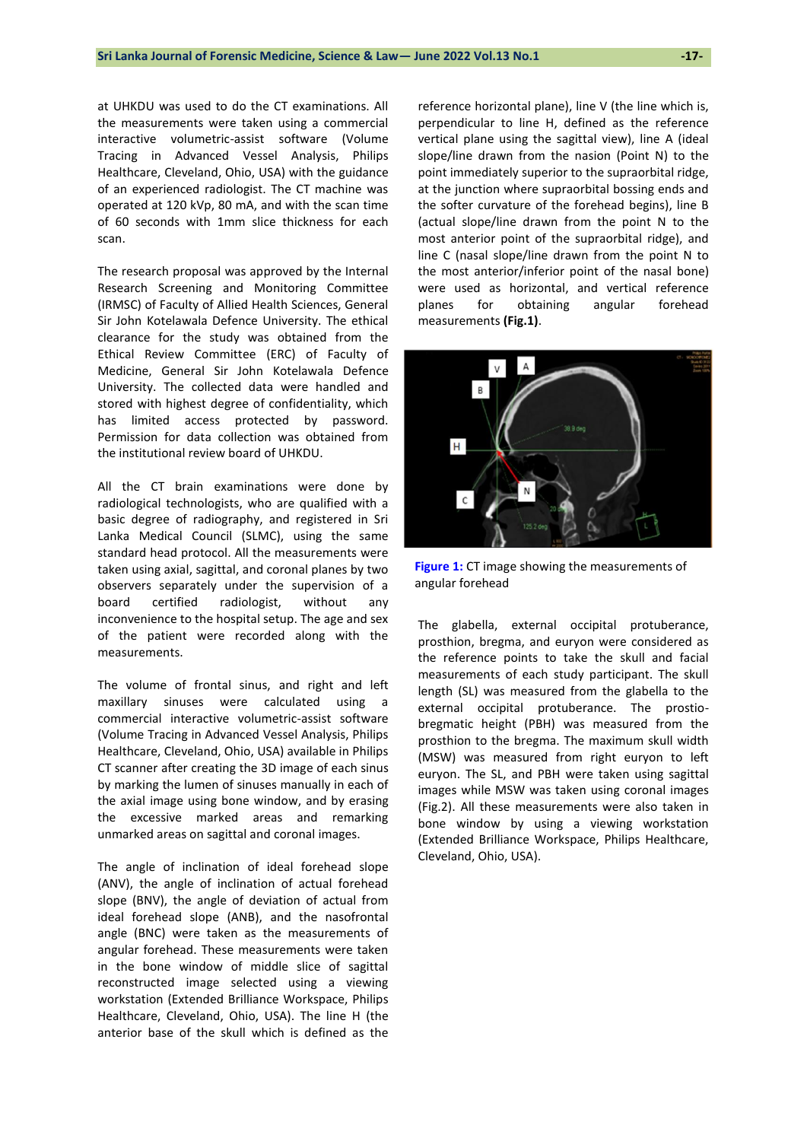at UHKDU was used to do the CT examinations. All the measurements were taken using a commercial interactive volumetric-assist software (Volume Tracing in Advanced Vessel Analysis, Philips Healthcare, Cleveland, Ohio, USA) with the guidance of an experienced radiologist. The CT machine was operated at 120 kVp, 80 mA, and with the scan time of 60 seconds with 1mm slice thickness for each scan.

The research proposal was approved by the Internal Research Screening and Monitoring Committee (IRMSC) of Faculty of Allied Health Sciences, General Sir John Kotelawala Defence University. The ethical clearance for the study was obtained from the Ethical Review Committee (ERC) of Faculty of Medicine, General Sir John Kotelawala Defence University. The collected data were handled and stored with highest degree of confidentiality, which has limited access protected by password. Permission for data collection was obtained from the institutional review board of UHKDU.

All the CT brain examinations were done by radiological technologists, who are qualified with a basic degree of radiography, and registered in Sri Lanka Medical Council (SLMC), using the same standard head protocol. All the measurements were taken using axial, sagittal, and coronal planes by two observers separately under the supervision of a board certified radiologist, without any inconvenience to the hospital setup. The age and sex of the patient were recorded along with the measurements.

The volume of frontal sinus, and right and left maxillary sinuses were calculated using a commercial interactive volumetric-assist software (Volume Tracing in Advanced Vessel Analysis, Philips Healthcare, Cleveland, Ohio, USA) available in Philips CT scanner after creating the 3D image of each sinus by marking the lumen of sinuses manually in each of the axial image using bone window, and by erasing the excessive marked areas and remarking unmarked areas on sagittal and coronal images.

The angle of inclination of ideal forehead slope (ANV), the angle of inclination of actual forehead slope (BNV), the angle of deviation of actual from ideal forehead slope (ANB), and the nasofrontal angle (BNC) were taken as the measurements of angular forehead. These measurements were taken in the bone window of middle slice of sagittal reconstructed image selected using a viewing workstation (Extended Brilliance Workspace, Philips Healthcare, Cleveland, Ohio, USA). The line H (the anterior base of the skull which is defined as the

reference horizontal plane), line V (the line which is, perpendicular to line H, defined as the reference vertical plane using the sagittal view), line A (ideal slope/line drawn from the nasion (Point N) to the point immediately superior to the supraorbital ridge, at the junction where supraorbital bossing ends and the softer curvature of the forehead begins), line B (actual slope/line drawn from the point N to the most anterior point of the supraorbital ridge), and line C (nasal slope/line drawn from the point N to the most anterior/inferior point of the nasal bone) were used as horizontal, and vertical reference planes for obtaining angular forehead measurements **(Fig.1)**.



**Figure 1:** CT image showing the measurements of angular forehead

The glabella, external occipital protuberance, prosthion, bregma, and euryon were considered as the reference points to take the skull and facial measurements of each study participant. The skull length (SL) was measured from the glabella to the external occipital protuberance. The prostiobregmatic height (PBH) was measured from the prosthion to the bregma. The maximum skull width (MSW) was measured from right euryon to left euryon. The SL, and PBH were taken using sagittal images while MSW was taken using coronal images (Fig.2). All these measurements were also taken in bone window by using a viewing workstation (Extended Brilliance Workspace, Philips Healthcare, Cleveland, Ohio, USA).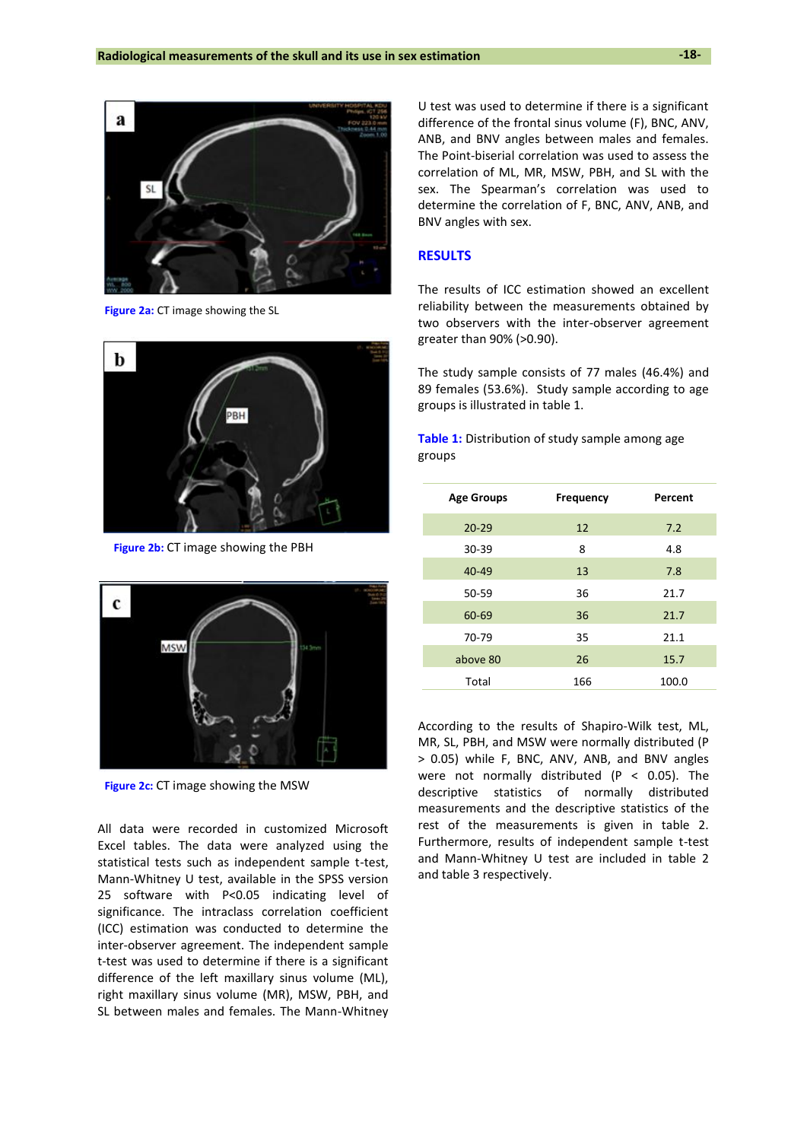

**Figure 2a:** CT image showing the SL



**Figure 2b:** CT image showing the PBH



**Figure 2c:** CT image showing the MSW

All data were recorded in customized Microsoft Excel tables. The data were analyzed using the statistical tests such as independent sample t-test, Mann-Whitney U test, available in the SPSS version 25 software with P<0.05 indicating level of significance. The intraclass correlation coefficient (ICC) estimation was conducted to determine the inter-observer agreement. The independent sample t-test was used to determine if there is a significant difference of the left maxillary sinus volume (ML), right maxillary sinus volume (MR), MSW, PBH, and SL between males and females. The Mann-Whitney U test was used to determine if there is a significant difference of the frontal sinus volume (F), BNC, ANV, ANB, and BNV angles between males and females. The Point-biserial correlation was used to assess the correlation of ML, MR, MSW, PBH, and SL with the sex. The Spearman's correlation was used to determine the correlation of F, BNC, ANV, ANB, and BNV angles with sex.

#### **RESULTS**

The results of ICC estimation showed an excellent reliability between the measurements obtained by two observers with the inter-observer agreement greater than 90% (>0.90).

The study sample consists of 77 males (46.4%) and 89 females (53.6%). Study sample according to age groups is illustrated in table 1.

**Table 1:** Distribution of study sample among age groups

| <b>Age Groups</b> | <b>Frequency</b> | Percent |
|-------------------|------------------|---------|
| $20 - 29$         | 12               | 7.2     |
| 30-39             | 8                | 4.8     |
| 40-49             | 13               | 7.8     |
| 50-59             | 36               | 21.7    |
| 60-69             | 36               | 21.7    |
| 70-79             | 35               | 21.1    |
| above 80          | 26               | 15.7    |
| Total             | 166              | 100.0   |

According to the results of Shapiro-Wilk test, ML, MR, SL, PBH, and MSW were normally distributed (P > 0.05) while F, BNC, ANV, ANB, and BNV angles were not normally distributed (P  $<$  0.05). The descriptive statistics of normally distributed measurements and the descriptive statistics of the rest of the measurements is given in table 2. Furthermore, results of independent sample t-test and Mann-Whitney U test are included in table 2 and table 3 respectively.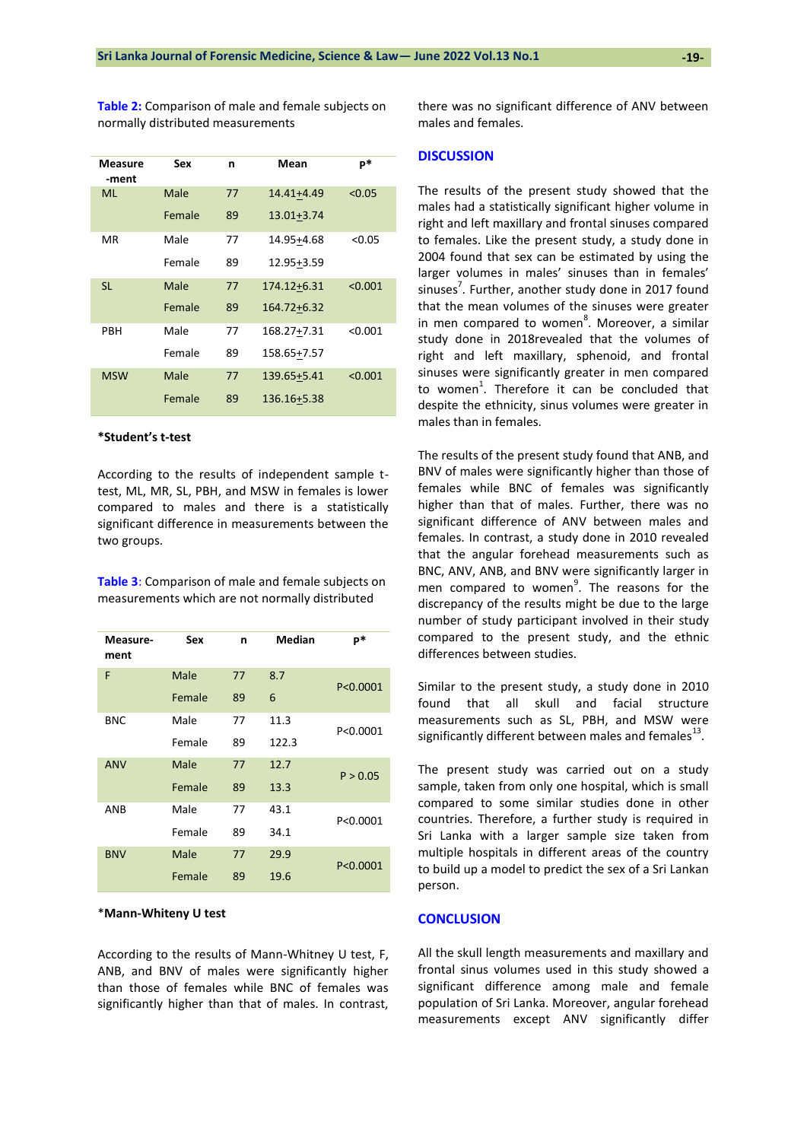**Table 2:** Comparison of male and female subjects on normally distributed measurements

| Measure<br>-ment | Sex    | n  | Mean           | p*      |
|------------------|--------|----|----------------|---------|
| ML               | Male   | 77 | 14.41+4.49     | < 0.05  |
|                  | Female | 89 | $13.01 + 3.74$ |         |
| МR               | Male   | 77 | 14.95+4.68     | < 0.05  |
|                  | Female | 89 | 12.95+3.59     |         |
| <b>SL</b>        | Male   | 77 | 174.12+6.31    | < 0.001 |
|                  | Female | 89 | 164.72+6.32    |         |
| PBH              | Male   | 77 | 168.27+7.31    | < 0.001 |
|                  | Female | 89 | 158.65+7.57    |         |
| <b>MSW</b>       | Male   | 77 | 139.65+5.41    | < 0.001 |
|                  | Female | 89 | 136.16+5.38    |         |

#### **\*Student's t-test**

According to the results of independent sample ttest, ML, MR, SL, PBH, and MSW in females is lower compared to males and there is a statistically significant difference in measurements between the two groups.

**Table 3**: Comparison of male and female subjects on measurements which are not normally distributed

| Measure-<br>ment | <b>Sex</b> | n  | Median | $P*$       |
|------------------|------------|----|--------|------------|
| F                | Male       | 77 | 8.7    | P < 0.0001 |
|                  | Female     | 89 | 6      |            |
| <b>BNC</b>       | Male       | 77 | 11.3   | P<0.0001   |
|                  | Female     | 89 | 122.3  |            |
| <b>ANV</b>       | Male       | 77 | 12.7   | P > 0.05   |
|                  | Female     | 89 | 13.3   |            |
| <b>ANB</b>       | Male       | 77 | 43.1   | P<0.0001   |
|                  | Female     | 89 | 34.1   |            |
| <b>BNV</b>       | Male       | 77 | 29.9   | P<0.0001   |
|                  | Female     | 89 | 19.6   |            |

#### \***Mann-Whiteny U test**

According to the results of Mann-Whitney U test, F, ANB, and BNV of males were significantly higher than those of females while BNC of females was significantly higher than that of males. In contrast, there was no significant difference of ANV between males and females.

#### **DISCUSSION**

The results of the present study showed that the males had a statistically significant higher volume in right and left maxillary and frontal sinuses compared to females. Like the present study, a study done in 2004 found that sex can be estimated by using the larger volumes in males' sinuses than in females' sinuses<sup>7</sup>. Further, another study done in 2017 found that the mean volumes of the sinuses were greater in men compared to women<sup>8</sup>. Moreover, a similar study done in 2018revealed that the volumes of right and left maxillary, sphenoid, and frontal sinuses were significantly greater in men compared to women<sup>1</sup>. Therefore it can be concluded that despite the ethnicity, sinus volumes were greater in males than in females.

The results of the present study found that ANB, and BNV of males were significantly higher than those of females while BNC of females was significantly higher than that of males. Further, there was no significant difference of ANV between males and females. In contrast, a study done in 2010 revealed that the angular forehead measurements such as BNC, ANV, ANB, and BNV were significantly larger in men compared to women<sup>9</sup>. The reasons for the discrepancy of the results might be due to the large number of study participant involved in their study compared to the present study, and the ethnic differences between studies.

Similar to the present study, a study done in 2010 found that all skull and facial structure measurements such as SL, PBH, and MSW were significantly different between males and females $^{13}$ .

The present study was carried out on a study sample, taken from only one hospital, which is small compared to some similar studies done in other countries. Therefore, a further study is required in Sri Lanka with a larger sample size taken from multiple hospitals in different areas of the country to build up a model to predict the sex of a Sri Lankan person.

#### **CONCLUSION**

All the skull length measurements and maxillary and frontal sinus volumes used in this study showed a significant difference among male and female population of Sri Lanka. Moreover, angular forehead measurements except ANV significantly differ